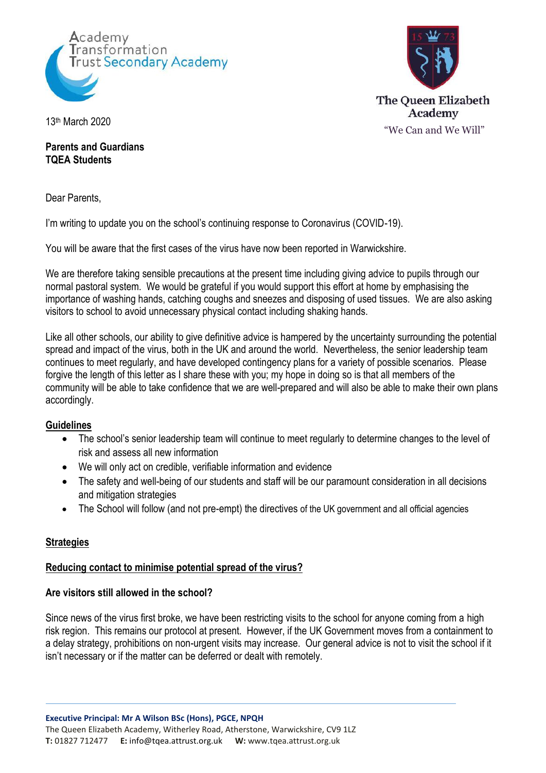



13 th March 2020

**Parents and Guardians TQEA Students**

Dear Parents,

I'm writing to update you on the school's continuing response to Coronavirus (COVID-19).

You will be aware that the first cases of the virus have now been reported in Warwickshire.

We are therefore taking sensible precautions at the present time including giving advice to pupils through our normal pastoral system. We would be grateful if you would support this effort at home by emphasising the importance of washing hands, catching coughs and sneezes and disposing of used tissues. We are also asking visitors to school to avoid unnecessary physical contact including shaking hands.

Like all other schools, our ability to give definitive advice is hampered by the uncertainty surrounding the potential spread and impact of the virus, both in the UK and around the world. Nevertheless, the senior leadership team continues to meet regularly, and have developed contingency plans for a variety of possible scenarios. Please forgive the length of this letter as I share these with you; my hope in doing so is that all members of the community will be able to take confidence that we are well-prepared and will also be able to make their own plans accordingly.

# **Guidelines**

- The school's senior leadership team will continue to meet regularly to determine changes to the level of risk and assess all new information
- We will only act on credible, verifiable information and evidence
- The safety and well-being of our students and staff will be our paramount consideration in all decisions and mitigation strategies
- The School will follow (and not pre-empt) the directives of the UK government and all official agencies

# **Strategies**

# **Reducing contact to minimise potential spread of the virus?**

## **Are visitors still allowed in the school?**

Since news of the virus first broke, we have been restricting visits to the school for anyone coming from a high risk region. This remains our protocol at present. However, if the UK Government moves from a containment to a delay strategy, prohibitions on non-urgent visits may increase. Our general advice is not to visit the school if it isn't necessary or if the matter can be deferred or dealt with remotely.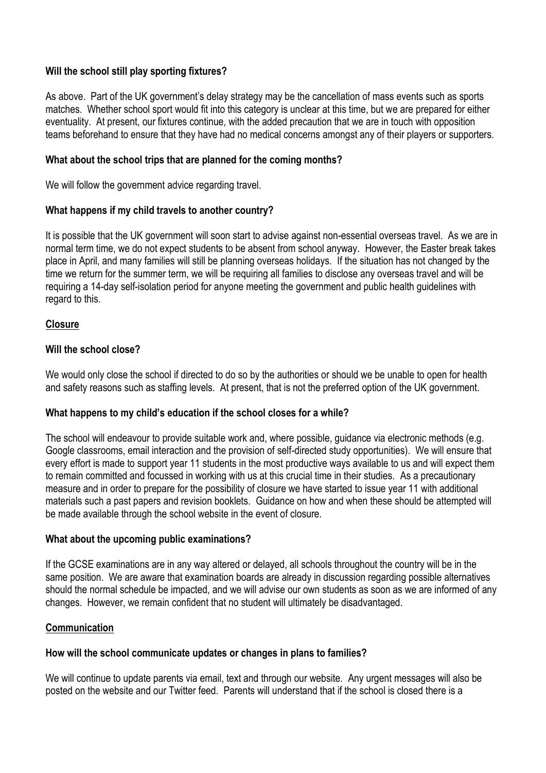## **Will the school still play sporting fixtures?**

As above. Part of the UK government's delay strategy may be the cancellation of mass events such as sports matches. Whether school sport would fit into this category is unclear at this time, but we are prepared for either eventuality. At present, our fixtures continue, with the added precaution that we are in touch with opposition teams beforehand to ensure that they have had no medical concerns amongst any of their players or supporters.

## **What about the school trips that are planned for the coming months?**

We will follow the government advice regarding travel.

## **What happens if my child travels to another country?**

It is possible that the UK government will soon start to advise against non-essential overseas travel. As we are in normal term time, we do not expect students to be absent from school anyway. However, the Easter break takes place in April, and many families will still be planning overseas holidays. If the situation has not changed by the time we return for the summer term, we will be requiring all families to disclose any overseas travel and will be requiring a 14-day self-isolation period for anyone meeting the government and public health guidelines with regard to this.

#### **Closure**

## **Will the school close?**

We would only close the school if directed to do so by the authorities or should we be unable to open for health and safety reasons such as staffing levels. At present, that is not the preferred option of the UK government.

## **What happens to my child's education if the school closes for a while?**

The school will endeavour to provide suitable work and, where possible, guidance via electronic methods (e.g. Google classrooms, email interaction and the provision of self-directed study opportunities). We will ensure that every effort is made to support year 11 students in the most productive ways available to us and will expect them to remain committed and focussed in working with us at this crucial time in their studies. As a precautionary measure and in order to prepare for the possibility of closure we have started to issue year 11 with additional materials such a past papers and revision booklets. Guidance on how and when these should be attempted will be made available through the school website in the event of closure.

#### **What about the upcoming public examinations?**

If the GCSE examinations are in any way altered or delayed, all schools throughout the country will be in the same position. We are aware that examination boards are already in discussion regarding possible alternatives should the normal schedule be impacted, and we will advise our own students as soon as we are informed of any changes. However, we remain confident that no student will ultimately be disadvantaged.

#### **Communication**

## **How will the school communicate updates or changes in plans to families?**

We will continue to update parents via email, text and through our website. Any urgent messages will also be posted on the website and our Twitter feed. Parents will understand that if the school is closed there is a